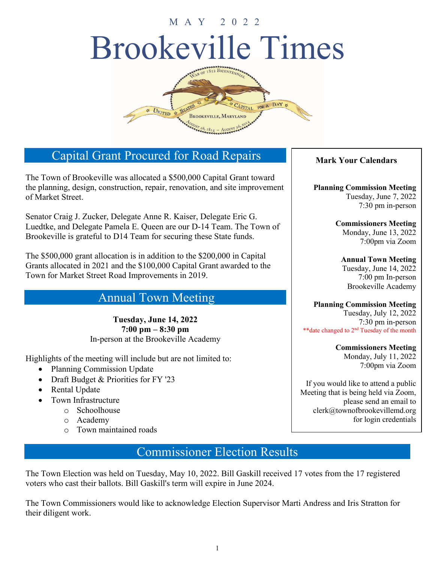# Brookeville Times MAY 2022



## Capital Grant Procured for Road Repairs

The Town of Brookeville was allocated a \$500,000 Capital Grant toward the planning, design, construction, repair, renovation, and site improvement of Market Street.

Senator Craig J. Zucker, Delegate Anne R. Kaiser, Delegate Eric G. Luedtke, and Delegate Pamela E. Queen are our D-14 Team. The Town of Brookeville is grateful to D14 Team for securing these State funds.

The \$500,000 grant allocation is in addition to the \$200,000 in Capital Grants allocated in 2021 and the \$100,000 Capital Grant awarded to the Town for Market Street Road Improvements in 2019.

## Annual Town Meeting

**Tuesday, June 14, 2022 7:00 pm – 8:30 pm** In-person at the Brookeville Academy

Highlights of the meeting will include but are not limited to:

- Planning Commission Update
- Draft Budget & Priorities for FY '23
- Rental Update
- Town Infrastructure
	- o Schoolhouse
	- o Academy
	- o Town maintained roads

## Commissioner Election Results

The Town Election was held on Tuesday, May 10, 2022. Bill Gaskill received 17 votes from the 17 registered voters who cast their ballots. Bill Gaskill's term will expire in June 2024.

The Town Commissioners would like to acknowledge Election Supervisor Marti Andress and Iris Stratton for their diligent work.

#### **Mark Your Calendars**

**Planning Commission Meeting** Tuesday, June 7, 2022 7:30 pm in-person

> **Commissioners Meeting** Monday, June 13, 2022 7:00pm via Zoom

**Annual Town Meeting** Tuesday, June 14, 2022 7:00 pm In-person Brookeville Academy

#### **Planning Commission Meeting**

Tuesday, July 12, 2022 7:30 pm in-person \*\*date changed to 2nd Tuesday of the month

**Commissioners Meeting**

Monday, July 11, 2022 7:00pm via Zoom

If you would like to attend a public Meeting that is being held via Zoom, please send an email to clerk@townofbrookevillemd.org for login credentials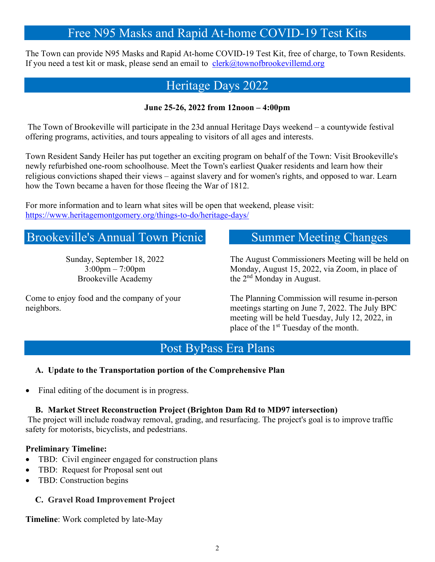## Free N95 Masks and Rapid At-home COVID-19 Test Kits

The Town can provide N95 Masks and Rapid At-home COVID-19 Test Kit, free of charge, to Town Residents. If you need a test kit or mask, please send an email to  $cleck@townofbrookevillemd.org$ 

## Heritage Days 2022

#### **June 25-26, 2022 from 12noon – 4:00pm**

The Town of Brookeville will participate in the 23d annual Heritage Days weekend – a countywide festival offering programs, activities, and tours appealing to visitors of all ages and interests.

Town Resident Sandy Heiler has put together an exciting program on behalf of the Town: Visit Brookeville's newly refurbished one-room schoolhouse. Meet the Town's earliest Quaker residents and learn how their religious convictions shaped their views – against slavery and for women's rights, and opposed to war. Learn how the Town became a haven for those fleeing the War of 1812.

For more information and to learn what sites will be open that weekend, please visit: <https://www.heritagemontgomery.org/things-to-do/heritage-days/>

## Brookeville's Annual Town Picnic

Sunday, September 18, 2022 3:00pm – 7:00pm Brookeville Academy

Come to enjoy food and the company of your neighbors.

### Summer Meeting Changes

The August Commissioners Meeting will be held on Monday, August 15, 2022, via Zoom, in place of the 2<sup>nd</sup> Monday in August.

The Planning Commission will resume in-person meetings starting on June 7, 2022. The July BPC meeting will be held Tuesday, July 12, 2022, in place of the  $1<sup>st</sup>$  Tuesday of the month.

## Post ByPass Era Plans

#### **A. Update to the Transportation portion of the Comprehensive Plan**

• Final editing of the document is in progress.

#### **B. Market Street Reconstruction Project (Brighton Dam Rd to MD97 intersection)**

The project will include roadway removal, grading, and resurfacing. The project's goal is to improve traffic safety for motorists, bicyclists, and pedestrians.

#### **Preliminary Timeline:**

- TBD: Civil engineer engaged for construction plans
- TBD: Request for Proposal sent out
- TBD: Construction begins

#### **C. Gravel Road Improvement Project**

**Timeline**: Work completed by late-May